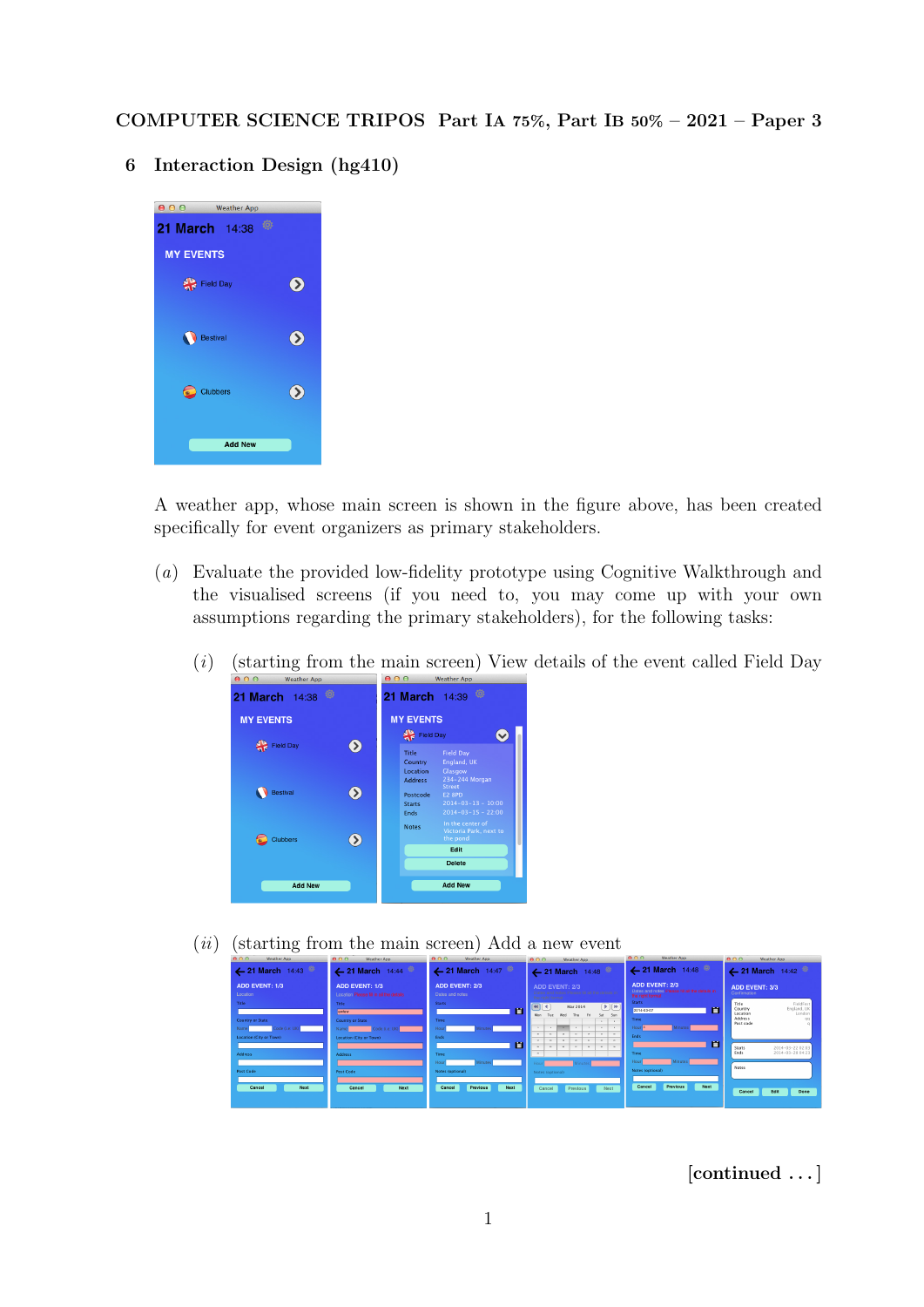COMPUTER SCIENCE TRIPOS Part IA 75%, Part IB 50% – 2021 – Paper 3

6 Interaction Design (hg410)

| 000<br><b>Weather App</b> |               |  |  |  |  |
|---------------------------|---------------|--|--|--|--|
| Ö<br>21 March 14:38       |               |  |  |  |  |
| <b>MY EVENTS</b>          |               |  |  |  |  |
| 쏚<br><b>Field Day</b>     | $\bullet$     |  |  |  |  |
| <b>Bestival</b>           | ⋗             |  |  |  |  |
| Clubbers<br>⋐             | $\rightarrow$ |  |  |  |  |
| <b>Add New</b>            |               |  |  |  |  |

A weather app, whose main screen is shown in the figure above, has been created specifically for event organizers as primary stakeholders.

- (a) Evaluate the provided low-fidelity prototype using Cognitive Walkthrough and the visualised screens (if you need to, you may come up with your own assumptions regarding the primary stakeholders), for the following tasks:
	- $(i)$  (starting from the main screen) View details of the event called Field Day



 $(ii)$  (starting from the main screen) Add a new event

| 000<br>Weather App                       | 000<br>Weather App                                                                        | 0.09<br>Weather App                      | 000<br>Weather App                                                                                                                                                                                  | 000<br>Weather App                                                                         | 000<br>Weather App                                                                         |
|------------------------------------------|-------------------------------------------------------------------------------------------|------------------------------------------|-----------------------------------------------------------------------------------------------------------------------------------------------------------------------------------------------------|--------------------------------------------------------------------------------------------|--------------------------------------------------------------------------------------------|
| 21 March 14:43                           | $\leftarrow$ 21 March 14:44                                                               | $\leftarrow$ 21 March 14:47              | $\leftarrow$ 21 March 14:48                                                                                                                                                                         | 421 March 14:48                                                                            | $\leftarrow$ 21 March 14:42                                                                |
| <b>ADD EVENT: 1/3</b><br>Location        | <b>ADD EVENT: 1/3</b><br>Location Please fill in all the details                          | <b>ADD EVENT: 2/3</b><br>Dates and notes | ADD EVENT: 2/3<br>Please til at the details in<br>the right format                                                                                                                                  | <b>ADD EVENT: 2/3</b><br>Dates and notes Please til all the details in<br>the right format | <b>ADD EVENT: 3/3</b><br>Confirmation                                                      |
| Title<br><b>Country or State</b>         | <b>Title</b><br>ewtew                                                                     | <b>Starts</b><br>m<br>Time               | $\boxed{4}$<br>(D)<br>Mar 2014<br>Wed<br>Fri.<br>Sat Sun<br>Mon<br>Thu<br>Tue                                                                                                                       | <b>Starts</b><br>m<br>2014-03-07<br>Time                                                   | FieldFest<br>Title<br>Country<br>England, UK<br>London<br>Location<br><b>Address</b><br>QQ |
| ode (i.e. UK)<br>Location (City or Town) | Country or State<br>Code (i.e. UK)<br>Name <sup>1</sup><br><b>Location (City or Town)</b> | Feds                                     | $\mathbf{r}$<br>$\rightarrow$<br>$\mathbf{v}$<br>$\mathbb{R}$<br>$\mathbf{H}$<br>$\sim$<br>$\sim$<br>$\mathbf{u}$<br>$\mathbf{r}$<br>$\mathbf{r}$<br>$\sim$<br>$\sim$<br>$\mathbf{u}$<br><b>ALC</b> | Hourla<br><b>Fods</b>                                                                      | Post code                                                                                  |
| <b>Address</b>                           | <b>Address</b>                                                                            | m<br>Time                                | $\mathbf{x}$<br>x<br>$\overline{a}$<br>$\rightarrow$<br><b>ALC</b>                                                                                                                                  | 冊<br>Time<br>Hour                                                                          | Starts<br>2014-03-22 02:03<br>Ends<br>2014-03-28 04:23                                     |
| Post Code                                | <b>Post Code</b>                                                                          | Minutes.<br>Notes (optional)             | Notes (optional)                                                                                                                                                                                    | Notes (optional)                                                                           | <b>Notes</b>                                                                               |
| Next<br>Cancel                           | Next<br>Cancel                                                                            | Next<br>Previous<br>Cancel               | Previous<br>Next<br>Cancel                                                                                                                                                                          | Next<br>Previous<br>Cancel                                                                 | Done<br>Edit<br>Cancel                                                                     |

[continued . . . ]